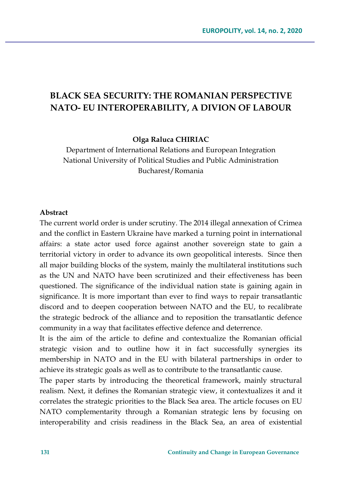# **BLACK SEA SECURITY: THE ROMANIAN PERSPECTIVE NATO- EU INTEROPERABILITY, A DIVION OF LABOUR**

**Olga Raluca CHIRIAC**

Department of International Relations and European Integration National University of Political Studies and Public Administration Bucharest/Romania

#### **Abstract**

The current world order is under scrutiny. The 2014 illegal annexation of Crimea and the conflict in Eastern Ukraine have marked a turning point in international affairs: a state actor used force against another sovereign state to gain a territorial victory in order to advance its own geopolitical interests. Since then all major building blocks of the system, mainly the multilateral institutions such as the UN and NATO have been scrutinized and their effectiveness has been questioned. The significance of the individual nation state is gaining again in significance. It is more important than ever to find ways to repair transatlantic discord and to deepen cooperation between NATO and the EU, to recalibrate the strategic bedrock of the alliance and to reposition the transatlantic defence community in a way that facilitates effective defence and deterrence.

It is the aim of the article to define and contextualize the Romanian official strategic vision and to outline how it in fact successfully synergies its membership in NATO and in the EU with bilateral partnerships in order to achieve its strategic goals as well as to contribute to the transatlantic cause.

The paper starts by introducing the theoretical framework, mainly structural realism. Next, it defines the Romanian strategic view, it contextualizes it and it correlates the strategic priorities to the Black Sea area. The article focuses on EU NATO complementarity through a Romanian strategic lens by focusing on interoperability and crisis readiness in the Black Sea, an area of existential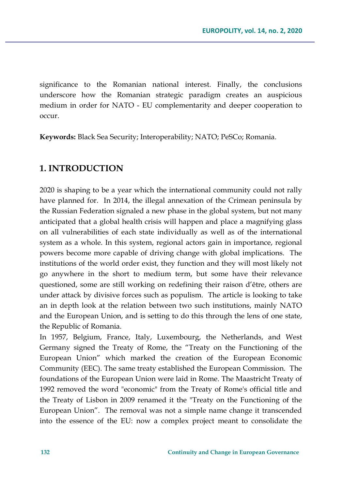significance to the Romanian national interest. Finally, the conclusions underscore how the Romanian strategic paradigm creates an auspicious medium in order for NATO - EU complementarity and deeper cooperation to occur.

**Keywords:** Black Sea Security; Interoperability; NATO; PeSCo; Romania.

### **1. INTRODUCTION**

2020 is shaping to be a year which the international community could not rally have planned for. In 2014, the illegal annexation of the Crimean peninsula by the Russian Federation signaled a new phase in the global system, but not many anticipated that a global health crisis will happen and place a magnifying glass on all vulnerabilities of each state individually as well as of the international system as a whole. In this system, regional actors gain in importance, regional powers become more capable of driving change with global implications. The institutions of the world order exist, they function and they will most likely not go anywhere in the short to medium term, but some have their relevance questioned, some are still working on redefining their raison d'être, others are under attack by divisive forces such as populism. The article is looking to take an in depth look at the relation between two such institutions, mainly NATO and the European Union, and is setting to do this through the lens of one state, the Republic of Romania.

In 1957, Belgium, France, Italy, Luxembourg, the Netherlands, and West Germany signed the Treaty of Rome, the "Treaty on the Functioning of the European Union" which marked the creation of the European Economic Community (EEC). The same treaty established the European Commission. The foundations of the European Union were laid in Rome. The Maastricht Treaty of 1992 removed the word "economic" from the Treaty of Rome's official title and the Treaty of Lisbon in 2009 renamed it the "Treaty on the Functioning of the European Union". The removal was not a simple name change it transcended into the essence of the EU: now a complex project meant to consolidate the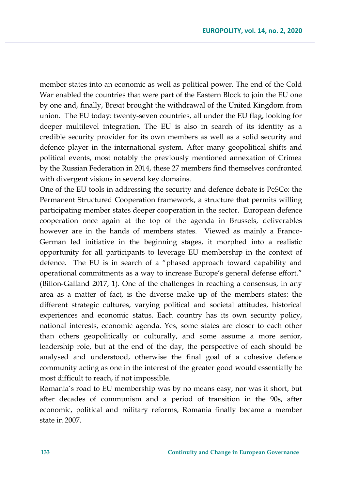member states into an economic as well as political power. The end of the Cold War enabled the countries that were part of the Eastern Block to join the EU one by one and, finally, Brexit brought the withdrawal of the United Kingdom from union. The EU today: twenty-seven countries, all under the EU flag, looking for deeper multilevel integration. The EU is also in search of its identity as a credible security provider for its own members as well as a solid security and defence player in the international system. After many geopolitical shifts and political events, most notably the previously mentioned annexation of Crimea by the Russian Federation in 2014, these 27 members find themselves confronted with divergent visions in several key domains.

One of the EU tools in addressing the security and defence debate is PeSCo: the Permanent Structured Cooperation framework, a structure that permits willing participating member states deeper cooperation in the sector. European defence cooperation once again at the top of the agenda in Brussels, deliverables however are in the hands of members states. Viewed as mainly a Franco-German led initiative in the beginning stages, it morphed into a realistic opportunity for all participants to leverage EU membership in the context of defence. The EU is in search of a "phased approach toward capability and operational commitments as a way to increase Europe's general defense effort." (Billon-Galland 2017, 1). One of the challenges in reaching a consensus, in any area as a matter of fact, is the diverse make up of the members states: the different strategic cultures, varying political and societal attitudes, historical experiences and economic status. Each country has its own security policy, national interests, economic agenda. Yes, some states are closer to each other than others geopolitically or culturally, and some assume a more senior, leadership role, but at the end of the day, the perspective of each should be analysed and understood, otherwise the final goal of a cohesive defence community acting as one in the interest of the greater good would essentially be most difficult to reach, if not impossible.

Romania's road to EU membership was by no means easy, nor was it short, but after decades of communism and a period of transition in the 90s, after economic, political and military reforms, Romania finally became a member state in 2007.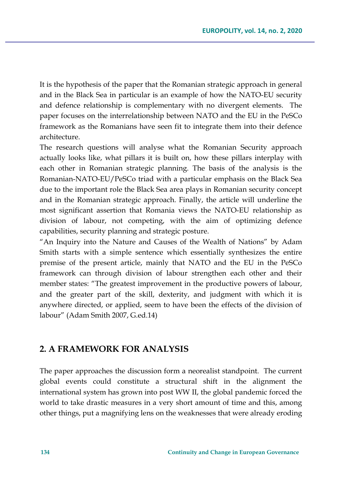It is the hypothesis of the paper that the Romanian strategic approach in general and in the Black Sea in particular is an example of how the NATO-EU security and defence relationship is complementary with no divergent elements. The paper focuses on the interrelationship between NATO and the EU in the PeSCo framework as the Romanians have seen fit to integrate them into their defence architecture.

The research questions will analyse what the Romanian Security approach actually looks like, what pillars it is built on, how these pillars interplay with each other in Romanian strategic planning. The basis of the analysis is the Romanian-NATO-EU/PeSCo triad with a particular emphasis on the Black Sea due to the important role the Black Sea area plays in Romanian security concept and in the Romanian strategic approach. Finally, the article will underline the most significant assertion that Romania views the NATO-EU relationship as division of labour, not competing, with the aim of optimizing defence capabilities, security planning and strategic posture.

"An Inquiry into the Nature and Causes of the Wealth of Nations" by Adam Smith starts with a simple sentence which essentially synthesizes the entire premise of the present article, mainly that NATO and the EU in the PeSCo framework can through division of labour strengthen each other and their member states: "The greatest improvement in the productive powers of labour, and the greater part of the skill, dexterity, and judgment with which it is anywhere directed, or applied, seem to have been the effects of the division of labour" (Adam Smith 2007, G.ed.14)

## **2. A FRAMEWORK FOR ANALYSIS**

The paper approaches the discussion form a neorealist standpoint. The current global events could constitute a structural shift in the alignment the international system has grown into post WW II, the global pandemic forced the world to take drastic measures in a very short amount of time and this, among other things, put a magnifying lens on the weaknesses that were already eroding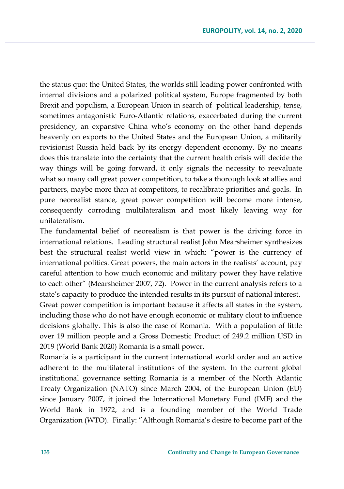the status quo: the United States, the worlds still leading power confronted with internal divisions and a polarized political system, Europe fragmented by both Brexit and populism, a European Union in search of political leadership, tense, sometimes antagonistic Euro-Atlantic relations, exacerbated during the current presidency, an expansive China who's economy on the other hand depends heavenly on exports to the United States and the European Union, a militarily revisionist Russia held back by its energy dependent economy. By no means does this translate into the certainty that the current health crisis will decide the way things will be going forward, it only signals the necessity to reevaluate what so many call great power competition, to take a thorough look at allies and partners, maybe more than at competitors, to recalibrate priorities and goals. In pure neorealist stance, great power competition will become more intense, consequently corroding multilateralism and most likely leaving way for unilateralism.

The fundamental belief of neorealism is that power is the driving force in international relations. Leading structural realist John Mearsheimer synthesizes best the structural realist world view in which: "power is the currency of international politics. Great powers, the main actors in the realists' account, pay careful attention to how much economic and military power they have relative to each other" (Mearsheimer 2007, 72). Power in the current analysis refers to a state's capacity to produce the intended results in its pursuit of national interest. Great power competition is important because it affects all states in the system, including those who do not have enough economic or military clout to influence decisions globally. This is also the case of Romania. With a population of little over 19 million people and a Gross Domestic Product of 249.2 million USD in 2019 (World Bank 2020) Romania is a small power.

Romania is a participant in the current international world order and an active adherent to the multilateral institutions of the system. In the current global institutional governance setting Romania is a member of the North Atlantic Treaty Organization (NATO) since March 2004, of the European Union (EU) since January 2007, it joined the International Monetary Fund (IMF) and the World Bank in 1972, and is a founding member of the World Trade Organization (WTO). Finally: "Although Romania's desire to become part of the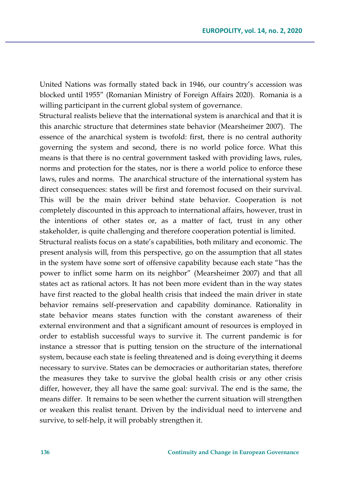United Nations was formally stated back in 1946, our country's accession was blocked until 1955" (Romanian Ministry of Foreign Affairs 2020). Romania is a willing participant in the current global system of governance.

Structural realists believe that the international system is anarchical and that it is this anarchic structure that determines state behavior (Mearsheimer 2007). The essence of the anarchical system is twofold: first, there is no central authority governing the system and second, there is no world police force. What this means is that there is no central government tasked with providing laws, rules, norms and protection for the states, nor is there a world police to enforce these laws, rules and norms. The anarchical structure of the international system has direct consequences: states will be first and foremost focused on their survival. This will be the main driver behind state behavior. Cooperation is not completely discounted in this approach to international affairs, however, trust in the intentions of other states or, as a matter of fact, trust in any other stakeholder, is quite challenging and therefore cooperation potential is limited.

Structural realists focus on a state's capabilities, both military and economic. The present analysis will, from this perspective, go on the assumption that all states in the system have some sort of offensive capability because each state "has the power to inflict some harm on its neighbor" (Mearsheimer 2007) and that all states act as rational actors. It has not been more evident than in the way states have first reacted to the global health crisis that indeed the main driver in state behavior remains self-preservation and capability dominance. Rationality in state behavior means states function with the constant awareness of their external environment and that a significant amount of resources is employed in order to establish successful ways to survive it. The current pandemic is for instance a stressor that is putting tension on the structure of the international system, because each state is feeling threatened and is doing everything it deems necessary to survive. States can be democracies or authoritarian states, therefore the measures they take to survive the global health crisis or any other crisis differ, however, they all have the same goal: survival. The end is the same, the means differ. It remains to be seen whether the current situation will strengthen or weaken this realist tenant. Driven by the individual need to intervene and survive, to self-help, it will probably strengthen it.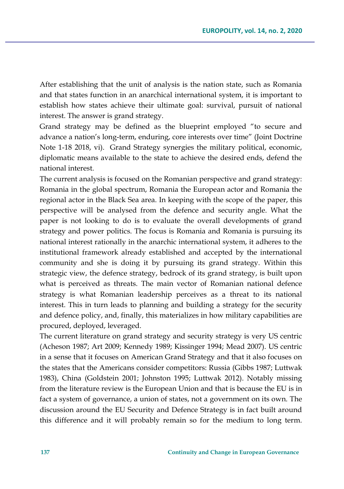After establishing that the unit of analysis is the nation state, such as Romania and that states function in an anarchical international system, it is important to establish how states achieve their ultimate goal: survival, pursuit of national interest. The answer is grand strategy.

Grand strategy may be defined as the blueprint employed "to secure and advance a nation's long-term, enduring, core interests over time" (Joint Doctrine Note 1-18 2018, vi). Grand Strategy synergies the military political, economic, diplomatic means available to the state to achieve the desired ends, defend the national interest.

The current analysis is focused on the Romanian perspective and grand strategy: Romania in the global spectrum, Romania the European actor and Romania the regional actor in the Black Sea area. In keeping with the scope of the paper, this perspective will be analysed from the defence and security angle. What the paper is not looking to do is to evaluate the overall developments of grand strategy and power politics. The focus is Romania and Romania is pursuing its national interest rationally in the anarchic international system, it adheres to the institutional framework already established and accepted by the international community and she is doing it by pursuing its grand strategy. Within this strategic view, the defence strategy, bedrock of its grand strategy, is built upon what is perceived as threats. The main vector of Romanian national defence strategy is what Romanian leadership perceives as a threat to its national interest. This in turn leads to planning and building a strategy for the security and defence policy, and, finally, this materializes in how military capabilities are procured, deployed, leveraged.

The current literature on grand strategy and security strategy is very US centric (Acheson 1987; Art 2009; Kennedy 1989; Kissinger 1994; Mead 2007). US centric in a sense that it focuses on American Grand Strategy and that it also focuses on the states that the Americans consider competitors: Russia (Gibbs 1987; Luttwak 1983), China (Goldstein 2001; Johnston 1995; Luttwak 2012). Notably missing from the literature review is the European Union and that is because the EU is in fact a system of governance, a union of states, not a government on its own. The discussion around the EU Security and Defence Strategy is in fact built around this difference and it will probably remain so for the medium to long term.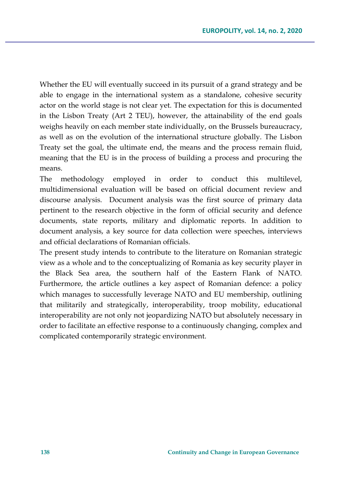Whether the EU will eventually succeed in its pursuit of a grand strategy and be able to engage in the international system as a standalone, cohesive security actor on the world stage is not clear yet. The expectation for this is documented in the Lisbon Treaty (Art 2 TEU), however, the attainability of the end goals weighs heavily on each member state individually, on the Brussels bureaucracy, as well as on the evolution of the international structure globally. The Lisbon Treaty set the goal, the ultimate end, the means and the process remain fluid, meaning that the EU is in the process of building a process and procuring the means.

The methodology employed in order to conduct this multilevel, multidimensional evaluation will be based on official document review and discourse analysis. Document analysis was the first source of primary data pertinent to the research objective in the form of official security and defence documents, state reports, military and diplomatic reports. In addition to document analysis, a key source for data collection were speeches, interviews and official declarations of Romanian officials.

The present study intends to contribute to the literature on Romanian strategic view as a whole and to the conceptualizing of Romania as key security player in the Black Sea area, the southern half of the Eastern Flank of NATO. Furthermore, the article outlines a key aspect of Romanian defence: a policy which manages to successfully leverage NATO and EU membership, outlining that militarily and strategically, interoperability, troop mobility, educational interoperability are not only not jeopardizing NATO but absolutely necessary in order to facilitate an effective response to a continuously changing, complex and complicated contemporarily strategic environment.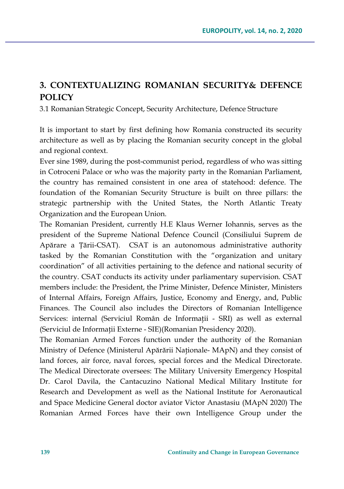## **3. CONTEXTUALIZING ROMANIAN SECURITY& DEFENCE POLICY**

3.1 Romanian Strategic Concept, Security Architecture, Defence Structure

It is important to start by first defining how Romania constructed its security architecture as well as by placing the Romanian security concept in the global and regional context.

Ever sine 1989, during the post-communist period, regardless of who was sitting in Cotroceni Palace or who was the majority party in the Romanian Parliament, the country has remained consistent in one area of statehood: defence. The foundation of the Romanian Security Structure is built on three pillars: the strategic partnership with the United States, the North Atlantic Treaty Organization and the European Union.

The Romanian President, currently H.E Klaus Werner Iohannis, serves as the president of the Supreme National Defence Council (Consiliului Suprem de Apărare a Țării-CSAT). CSAT is an autonomous administrative authority tasked by the Romanian Constitution with the "organization and unitary coordination" of all activities pertaining to the defence and national security of the country. CSAT conducts its activity under parliamentary supervision. CSAT members include: the President, the Prime Minister, Defence Minister, Ministers of Internal Affairs, Foreign Affairs, Justice, Economy and Energy, and, Public Finances. The Council also includes the Directors of Romanian Intelligence Services: internal (Serviciul Român de Informații - SRI) as well as external (Serviciul de Informaţii Externe - SIE)(Romanian Presidency 2020).

The Romanian Armed Forces function under the authority of the Romanian Ministry of Defence (Ministerul Apărării Naţionale- MApN) and they consist of land forces, air force, naval forces, special forces and the Medical Directorate. The Medical Directorate oversees: The Military University Emergency Hospital Dr. Carol Davila, the Cantacuzino National Medical Military Institute for Research and Development as well as the National Institute for Aeronautical and Space Medicine General doctor aviator Victor Anastasiu (MApN 2020) The Romanian Armed Forces have their own Intelligence Group under the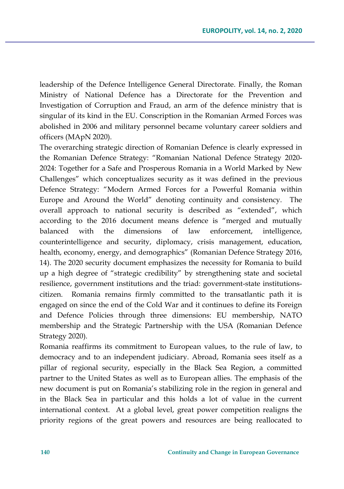leadership of the Defence Intelligence General Directorate. Finally, the Roman Ministry of National Defence has a Directorate for the Prevention and Investigation of Corruption and Fraud, an arm of the defence ministry that is singular of its kind in the EU. Conscription in the Romanian Armed Forces was abolished in 2006 and military personnel became voluntary career soldiers and officers (MApN 2020).

The overarching strategic direction of Romanian Defence is clearly expressed in the Romanian Defence Strategy: "Romanian National Defence Strategy 2020- 2024: Together for a Safe and Prosperous Romania in a World Marked by New Challenges" which conceptualizes security as it was defined in the previous Defence Strategy: "Modern Armed Forces for a Powerful Romania within Europe and Around the World" denoting continuity and consistency. The overall approach to national security is described as "extended", which according to the 2016 document means defence is "merged and mutually balanced with the dimensions of law enforcement, intelligence, counterintelligence and security, diplomacy, crisis management, education, health, economy, energy, and demographics" (Romanian Defence Strategy 2016, 14). The 2020 security document emphasizes the necessity for Romania to build up a high degree of "strategic credibility" by strengthening state and societal resilience, government institutions and the triad: government-state institutionscitizen. Romania remains firmly committed to the transatlantic path it is engaged on since the end of the Cold War and it continues to define its Foreign and Defence Policies through three dimensions: EU membership, NATO membership and the Strategic Partnership with the USA (Romanian Defence Strategy 2020).

Romania reaffirms its commitment to European values, to the rule of law, to democracy and to an independent judiciary. Abroad, Romania sees itself as a pillar of regional security, especially in the Black Sea Region, a committed partner to the United States as well as to European allies. The emphasis of the new document is put on Romania's stabilizing role in the region in general and in the Black Sea in particular and this holds a lot of value in the current international context. At a global level, great power competition realigns the priority regions of the great powers and resources are being reallocated to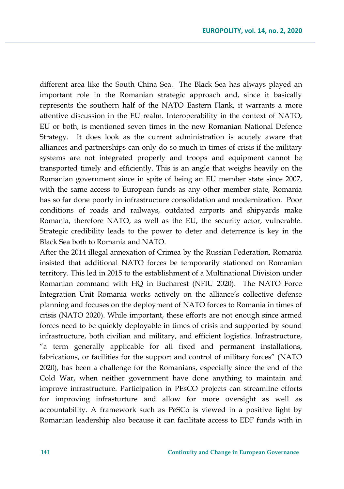different area like the South China Sea. The Black Sea has always played an important role in the Romanian strategic approach and, since it basically represents the southern half of the NATO Eastern Flank, it warrants a more attentive discussion in the EU realm. Interoperability in the context of NATO, EU or both, is mentioned seven times in the new Romanian National Defence Strategy. It does look as the current administration is acutely aware that alliances and partnerships can only do so much in times of crisis if the military systems are not integrated properly and troops and equipment cannot be transported timely and efficiently. This is an angle that weighs heavily on the Romanian government since in spite of being an EU member state since 2007, with the same access to European funds as any other member state, Romania has so far done poorly in infrastructure consolidation and modernization. Poor conditions of roads and railways, outdated airports and shipyards make Romania, therefore NATO, as well as the EU, the security actor, vulnerable. Strategic credibility leads to the power to deter and deterrence is key in the Black Sea both to Romania and NATO.

After the 2014 illegal annexation of Crimea by the Russian Federation, Romania insisted that additional NATO forces be temporarily stationed on Romanian territory. This led in 2015 to the establishment of a Multinational Division under Romanian command with HQ in Bucharest (NFIU 2020). The NATO Force Integration Unit Romania works actively on the alliance's collective defense planning and focuses on the deployment of NATO forces to Romania in times of crisis (NATO 2020). While important, these efforts are not enough since armed forces need to be quickly deployable in times of crisis and supported by sound infrastructure, both civilian and military, and efficient logistics. Infrastructure, "a term generally applicable for all fixed and permanent installations, fabrications, or facilities for the support and control of military forces" (NATO 2020), has been a challenge for the Romanians, especially since the end of the Cold War, when neither government have done anything to maintain and improve infrastructure. Participation in PEsCO projects can streamline efforts for improving infrasturture and allow for more oversight as well as accountability. A framework such as PeSCo is viewed in a positive light by Romanian leadership also because it can facilitate access to EDF funds with in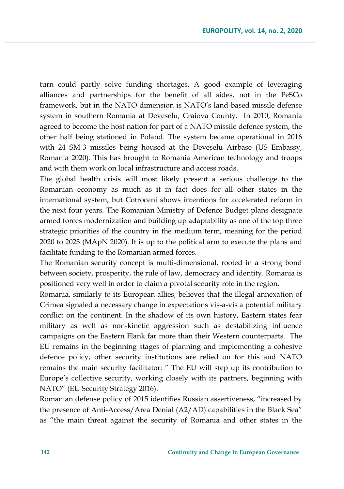turn could partly solve funding shortages. A good example of leveraging alliances and partnerships for the benefit of all sides, not in the PeSCo framework, but in the NATO dimension is NATO's land-based missile defense system in southern Romania at Deveselu, Craiova County. In 2010, Romania agreed to become the host nation for part of a NATO missile defence system, the other half being stationed in Poland. The system became operational in 2016 with 24 SM-3 missiles being housed at the Deveselu Airbase (US Embassy, Romania 2020). This has brought to Romania American technology and troops and with them work on local infrastructure and access roads.

The global health crisis will most likely present a serious challenge to the Romanian economy as much as it in fact does for all other states in the international system, but Cotroceni shows intentions for accelerated reform in the next four years. The Romanian Ministry of Defence Budget plans designate armed forces modernization and building up adaptability as one of the top three strategic priorities of the country in the medium term, meaning for the period 2020 to 2023 (MApN 2020). It is up to the political arm to execute the plans and facilitate funding to the Romanian armed forces.

The Romanian security concept is multi-dimensional, rooted in a strong bond between society, prosperity, the rule of law, democracy and identity. Romania is positioned very well in order to claim a pivotal security role in the region.

Romania, similarly to its European allies, believes that the illegal annexation of Crimea signaled a necessary change in expectations vis-a-vis a potential military conflict on the continent. In the shadow of its own history, Eastern states fear military as well as non-kinetic aggression such as destabilizing influence campaigns on the Eastern Flank far more than their Western counterparts. The EU remains in the beginning stages of planning and implementing a cohesive defence policy, other security institutions are relied on for this and NATO remains the main security facilitator: " The EU will step up its contribution to Europe's collective security, working closely with its partners, beginning with NATO" (EU Security Strategy 2016).

Romanian defense policy of 2015 identifies Russian assertiveness, "increased by the presence of Anti-Access/Area Denial (A2/AD) capabilities in the Black Sea" as "the main threat against the security of Romania and other states in the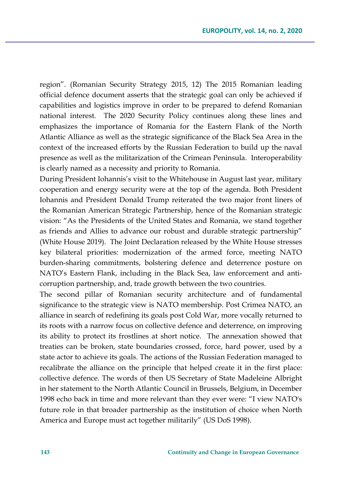region". (Romanian Security Strategy 2015, 12) The 2015 Romanian leading official defence document asserts that the strategic goal can only be achieved if capabilities and logistics improve in order to be prepared to defend Romanian national interest. The 2020 Security Policy continues along these lines and emphasizes the importance of Romania for the Eastern Flank of the North Atlantic Alliance as well as the strategic significance of the Black Sea Area in the context of the increased efforts by the Russian Federation to build up the naval presence as well as the militarization of the Crimean Peninsula. Interoperability is clearly named as a necessity and priority to Romania.

During President Iohannis's visit to the Whitehouse in August last year, military cooperation and energy security were at the top of the agenda. Both President Iohannis and President Donald Trump reiterated the two major front liners of the Romanian American Strategic Partnership, hence of the Romanian strategic vision: "As the Presidents of the United States and Romania, we stand together as friends and Allies to advance our robust and durable strategic partnership" (White House 2019). The Joint Declaration released by the White House stresses key bilateral priorities: modernization of the armed force, meeting NATO burden-sharing commitments, bolstering defence and deterrence posture on NATO's Eastern Flank, including in the Black Sea, law enforcement and anticorruption partnership, and, trade growth between the two countries.

The second pillar of Romanian security architecture and of fundamental significance to the strategic view is NATO membership. Post Crimea NATO, an alliance in search of redefining its goals post Cold War, more vocally returned to its roots with a narrow focus on collective defence and deterrence, on improving its ability to protect its frostlines at short notice. The annexation showed that treaties can be broken, state boundaries crossed, force, hard power, used by a state actor to achieve its goals. The actions of the Russian Federation managed to recalibrate the alliance on the principle that helped create it in the first place: collective defence. The words of then US Secretary of State Madeleine Albright in her statement to the North Atlantic Council in Brussels, Belgium, in December 1998 echo back in time and more relevant than they ever were: "I view NATO's future role in that broader partnership as the institution of choice when North America and Europe must act together militarily" (US DoS 1998).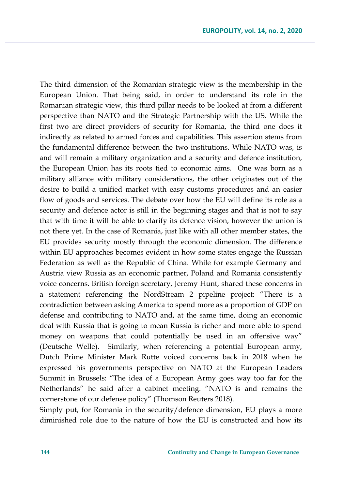The third dimension of the Romanian strategic view is the membership in the European Union. That being said, in order to understand its role in the Romanian strategic view, this third pillar needs to be looked at from a different perspective than NATO and the Strategic Partnership with the US. While the first two are direct providers of security for Romania, the third one does it indirectly as related to armed forces and capabilities. This assertion stems from the fundamental difference between the two institutions. While NATO was, is and will remain a military organization and a security and defence institution, the European Union has its roots tied to economic aims. One was born as a military alliance with military considerations, the other originates out of the desire to build a unified market with easy customs procedures and an easier flow of goods and services. The debate over how the EU will define its role as a security and defence actor is still in the beginning stages and that is not to say that with time it will be able to clarify its defence vision, however the union is not there yet. In the case of Romania, just like with all other member states, the EU provides security mostly through the economic dimension. The difference within EU approaches becomes evident in how some states engage the Russian Federation as well as the Republic of China. While for example Germany and Austria view Russia as an economic partner, Poland and Romania consistently voice concerns. British foreign secretary, Jeremy Hunt, shared these concerns in a statement referencing the NordStream 2 pipeline project: "There is a contradiction between asking America to spend more as a proportion of GDP on defense and contributing to NATO and, at the same time, doing an economic deal with Russia that is going to mean Russia is richer and more able to spend money on weapons that could potentially be used in an offensive way" (Deutsche Welle). Similarly, when referencing a potential European army, Dutch Prime Minister Mark Rutte voiced concerns back in 2018 when he expressed his governments perspective on NATO at the European Leaders Summit in Brussels: "The idea of a European Army goes way too far for the Netherlands" he said after a cabinet meeting. "NATO is and remains the cornerstone of our defense policy" (Thomson Reuters 2018).

Simply put, for Romania in the security/defence dimension, EU plays a more diminished role due to the nature of how the EU is constructed and how its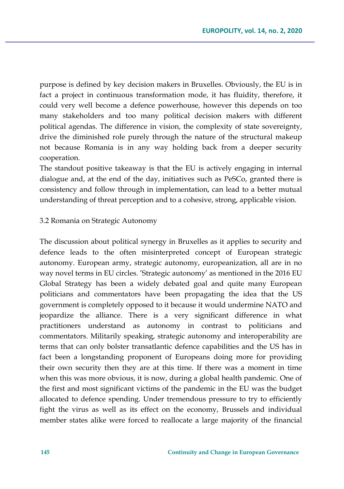purpose is defined by key decision makers in Bruxelles. Obviously, the EU is in fact a project in continuous transformation mode, it has fluidity, therefore, it could very well become a defence powerhouse, however this depends on too many stakeholders and too many political decision makers with different political agendas. The difference in vision, the complexity of state sovereignty, drive the diminished role purely through the nature of the structural makeup not because Romania is in any way holding back from a deeper security cooperation.

The standout positive takeaway is that the EU is actively engaging in internal dialogue and, at the end of the day, initiatives such as PeSCo, granted there is consistency and follow through in implementation, can lead to a better mutual understanding of threat perception and to a cohesive, strong, applicable vision.

#### 3.2 Romania on Strategic Autonomy

The discussion about political synergy in Bruxelles as it applies to security and defence leads to the often misinterpreted concept of European strategic autonomy. European army, strategic autonomy, europeanization, all are in no way novel terms in EU circles. 'Strategic autonomy' as mentioned in the 2016 EU Global Strategy has been a widely debated goal and quite many European politicians and commentators have been propagating the idea that the US government is completely opposed to it because it would undermine NATO and jeopardize the alliance. There is a very significant difference in what practitioners understand as autonomy in contrast to politicians and commentators. Militarily speaking, strategic autonomy and interoperability are terms that can only bolster transatlantic defence capabilities and the US has in fact been a longstanding proponent of Europeans doing more for providing their own security then they are at this time. If there was a moment in time when this was more obvious, it is now, during a global health pandemic. One of the first and most significant victims of the pandemic in the EU was the budget allocated to defence spending. Under tremendous pressure to try to efficiently fight the virus as well as its effect on the economy, Brussels and individual member states alike were forced to reallocate a large majority of the financial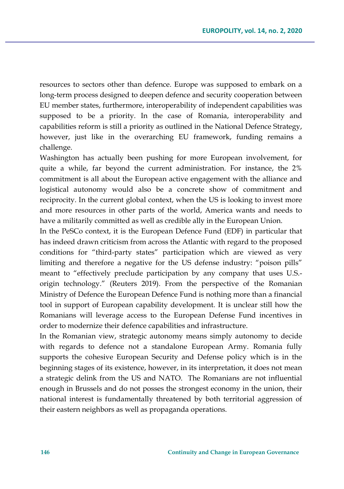resources to sectors other than defence. Europe was supposed to embark on a long-term process designed to deepen defence and security cooperation between EU member states, furthermore, interoperability of independent capabilities was supposed to be a priority. In the case of Romania, interoperability and capabilities reform is still a priority as outlined in the National Defence Strategy, however, just like in the overarching EU framework, funding remains a challenge.

Washington has actually been pushing for more European involvement, for quite a while, far beyond the current administration. For instance, the 2% commitment is all about the European active engagement with the alliance and logistical autonomy would also be a concrete show of commitment and reciprocity. In the current global context, when the US is looking to invest more and more resources in other parts of the world, America wants and needs to have a militarily committed as well as credible ally in the European Union.

In the PeSCo context, it is the European Defence Fund (EDF) in particular that has indeed drawn criticism from across the Atlantic with regard to the proposed conditions for "third-party states" participation which are viewed as very limiting and therefore a negative for the US defense industry: "poison pills" meant to "effectively preclude participation by any company that uses U.S. origin technology." (Reuters 2019). From the perspective of the Romanian Ministry of Defence the European Defence Fund is nothing more than a financial tool in support of European capability development. It is unclear still how the Romanians will leverage access to the European Defense Fund incentives in order to modernize their defence capabilities and infrastructure.

In the Romanian view, strategic autonomy means simply autonomy to decide with regards to defence not a standalone European Army. Romania fully supports the cohesive European Security and Defense policy which is in the beginning stages of its existence, however, in its interpretation, it does not mean a strategic delink from the US and NATO. The Romanians are not influential enough in Brussels and do not posses the strongest economy in the union, their national interest is fundamentally threatened by both territorial aggression of their eastern neighbors as well as propaganda operations.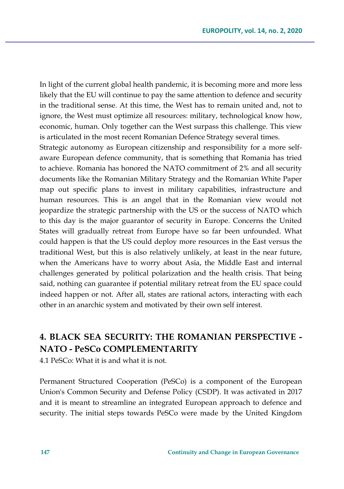In light of the current global health pandemic, it is becoming more and more less likely that the EU will continue to pay the same attention to defence and security in the traditional sense. At this time, the West has to remain united and, not to ignore, the West must optimize all resources: military, technological know how, economic, human. Only together can the West surpass this challenge. This view is articulated in the most recent Romanian Defence Strategy several times.

Strategic autonomy as European citizenship and responsibility for a more selfaware European defence community, that is something that Romania has tried to achieve. Romania has honored the NATO commitment of 2% and all security documents like the Romanian Military Strategy and the Romanian White Paper map out specific plans to invest in military capabilities, infrastructure and human resources. This is an angel that in the Romanian view would not jeopardize the strategic partnership with the US or the success of NATO which to this day is the major guarantor of security in Europe. Concerns the United States will gradually retreat from Europe have so far been unfounded. What could happen is that the US could deploy more resources in the East versus the traditional West, but this is also relatively unlikely, at least in the near future, when the Americans have to worry about Asia, the Middle East and internal challenges generated by political polarization and the health crisis. That being said, nothing can guarantee if potential military retreat from the EU space could indeed happen or not. After all, states are rational actors, interacting with each other in an anarchic system and motivated by their own self interest.

# **4. BLACK SEA SECURITY: THE ROMANIAN PERSPECTIVE - NATO - PeSCo COMPLEMENTARITY**

4.1 PeSCo: What it is and what it is not.

Permanent Structured Cooperation (PeSCo) is a component of the European Union's Common Security and Defense Policy (CSDP). It was activated in 2017 and it is meant to streamline an integrated European approach to defence and security. The initial steps towards PeSCo were made by the United Kingdom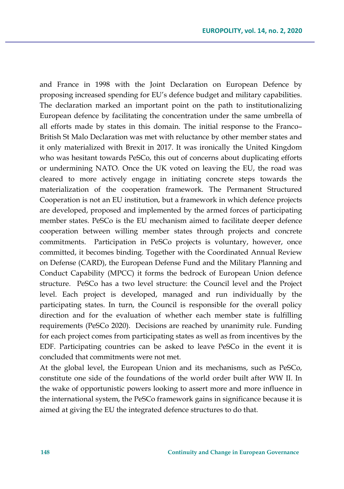and France in 1998 with the Joint Declaration on European Defence by proposing increased spending for EU's defence budget and military capabilities. The declaration marked an important point on the path to institutionalizing European defence by facilitating the concentration under the same umbrella of all efforts made by states in this domain. The initial response to the Franco– British St Malo Declaration was met with reluctance by other member states and it only materialized with Brexit in 2017. It was ironically the United Kingdom who was hesitant towards PeSCo, this out of concerns about duplicating efforts or undermining NATO. Once the UK voted on leaving the EU, the road was cleared to more actively engage in initiating concrete steps towards the materialization of the cooperation framework. The Permanent Structured Cooperation is not an EU institution, but a framework in which defence projects are developed, proposed and implemented by the armed forces of participating member states. PeSCo is the EU mechanism aimed to facilitate deeper defence cooperation between willing member states through projects and concrete commitments. Participation in PeSCo projects is voluntary, however, once committed, it becomes binding. Together with the Coordinated Annual Review on Defense (CARD), the European Defense Fund and the Military Planning and Conduct Capability (MPCC) it forms the bedrock of European Union defence structure. PeSCo has a two level structure: the Council level and the Project level. Each project is developed, managed and run individually by the participating states. In turn, the Council is responsible for the overall policy direction and for the evaluation of whether each member state is fulfilling requirements (PeSCo 2020). Decisions are reached by unanimity rule. Funding for each project comes from participating states as well as from incentives by the EDF. Participating countries can be asked to leave PeSCo in the event it is concluded that commitments were not met.

At the global level, the European Union and its mechanisms, such as PeSCo, constitute one side of the foundations of the world order built after WW II. In the wake of opportunistic powers looking to assert more and more influence in the international system, the PeSCo framework gains in significance because it is aimed at giving the EU the integrated defence structures to do that.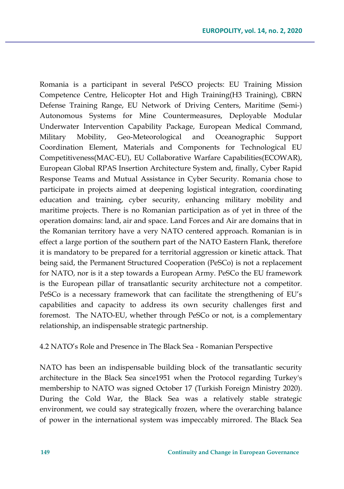Romania is a participant in several PeSCO projects: EU Training Mission Competence Centre, Helicopter Hot and High Training(H3 Training), CBRN Defense Training Range, EU Network of Driving Centers, Maritime (Semi-) Autonomous Systems for Mine Countermeasures, Deployable Modular Underwater Intervention Capability Package, European Medical Command, Military Mobility, Geo-Meteorological and Oceanographic Support Coordination Element, Materials and Components for Technological EU Competitiveness(MAC-EU), EU Collaborative Warfare Capabilities(ECOWAR), European Global RPAS Insertion Architecture System and, finally, Cyber Rapid Response Teams and Mutual Assistance in Cyber Security. Romania chose to participate in projects aimed at deepening logistical integration, coordinating education and training, cyber security, enhancing military mobility and maritime projects. There is no Romanian participation as of yet in three of the operation domains: land, air and space. Land Forces and Air are domains that in the Romanian territory have a very NATO centered approach. Romanian is in effect a large portion of the southern part of the NATO Eastern Flank, therefore it is mandatory to be prepared for a territorial aggression or kinetic attack. That being said, the Permanent Structured Cooperation (PeSCo) is not a replacement for NATO, nor is it a step towards a European Army. PeSCo the EU framework is the European pillar of transatlantic security architecture not a competitor. PeSCo is a necessary framework that can facilitate the strengthening of EU's capabilities and capacity to address its own security challenges first and foremost. The NATO-EU, whether through PeSCo or not, is a complementary relationship, an indispensable strategic partnership.

4.2 NATO's Role and Presence in The Black Sea - Romanian Perspective

NATO has been an indispensable building block of the transatlantic security architecture in the Black Sea since1951 when the Protocol regarding Turkey's membership to NATO was signed October 17 (Turkish Foreign Ministry 2020). During the Cold War, the Black Sea was a relatively stable strategic environment, we could say strategically frozen, where the overarching balance of power in the international system was impeccably mirrored. The Black Sea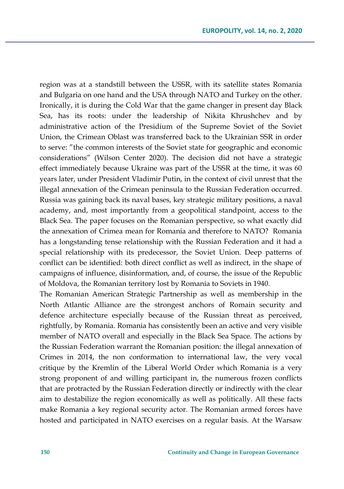region was at a standstill between the USSR, with its satellite states Romania and Bulgaria on one hand and the USA through NATO and Turkey on the other. Ironically, it is during the Cold War that the game changer in present day Black Sea, has its roots: under the leadership of Nikita Khrushchev and by administrative action of the Presidium of the Supreme Soviet of the Soviet Union, the Crimean Oblast was transferred back to the Ukrainian SSR in order to serve: "the common interests of the Soviet state for geographic and economic considerations" (Wilson Center 2020). The decision did not have a strategic effect immediately because Ukraine was part of the USSR at the time, it was 60 years later, under President Vladimir Putin, in the context of civil unrest that the illegal annexation of the Crimean peninsula to the Russian Federation occurred. Russia was gaining back its naval bases, key strategic military positions, a naval academy, and, most importantly from a geopolitical standpoint, access to the Black Sea. The paper focuses on the Romanian perspective, so what exactly did the annexation of Crimea mean for Romania and therefore to NATO? Romania has a longstanding tense relationship with the Russian Federation and it had a special relationship with its predecessor, the Soviet Union. Deep patterns of conflict can be identified: both direct conflict as well as indirect, in the shape of campaigns of influence, disinformation, and, of course, the issue of the Republic of Moldova, the Romanian territory lost by Romania to Soviets in 1940.

The Romanian American Strategic Partnership as well as membership in the North Atlantic Alliance are the strongest anchors of Romain security and defence architecture especially because of the Russian threat as perceived, rightfully, by Romania. Romania has consistently been an active and very visible member of NATO overall and especially in the Black Sea Space. The actions by the Russian Federation warrant the Romanian position: the illegal annexation of Crimes in 2014, the non conformation to international law, the very vocal critique by the Kremlin of the Liberal World Order which Romania is a very strong proponent of and willing participant in, the numerous frozen conflicts that are protracted by the Russian Federation directly or indirectly with the clear aim to destabilize the region economically as well as politically. All these facts make Romania a key regional security actor. The Romanian armed forces have hosted and participated in NATO exercises on a regular basis. At the Warsaw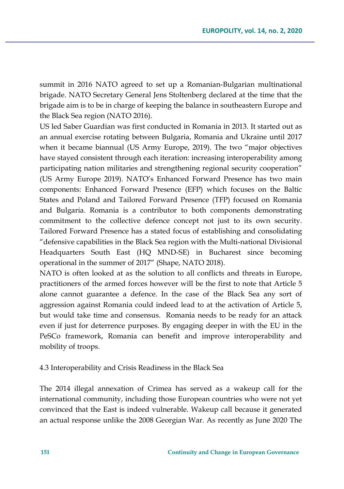summit in 2016 NATO agreed to set up a Romanian-Bulgarian multinational brigade. NATO Secretary General Jens Stoltenberg declared at the time that the brigade aim is to be in charge of keeping the balance in southeastern Europe and the Black Sea region (NATO 2016).

US led Saber Guardian was first conducted in Romania in 2013. It started out as an annual exercise rotating between Bulgaria, Romania and Ukraine until 2017 when it became biannual (US Army Europe, 2019). The two "major objectives have stayed consistent through each iteration: increasing interoperability among participating nation militaries and strengthening regional security cooperation" (US Army Europe 2019). NATO's Enhanced Forward Presence has two main components: Enhanced Forward Presence (EFP) which focuses on the Baltic States and Poland and Tailored Forward Presence (TFP) focused on Romania and Bulgaria. Romania is a contributor to both components demonstrating commitment to the collective defence concept not just to its own security. Tailored Forward Presence has a stated focus of establishing and consolidating "defensive capabilities in the Black Sea region with the Multi-national Divisional Headquarters South East (HQ MND-SE) in Bucharest since becoming operational in the summer of 2017" (Shape, NATO 2018).

NATO is often looked at as the solution to all conflicts and threats in Europe, practitioners of the armed forces however will be the first to note that Article 5 alone cannot guarantee a defence. In the case of the Black Sea any sort of aggression against Romania could indeed lead to at the activation of Article 5, but would take time and consensus. Romania needs to be ready for an attack even if just for deterrence purposes. By engaging deeper in with the EU in the PeSCo framework, Romania can benefit and improve interoperability and mobility of troops.

#### 4.3 Interoperability and Crisis Readiness in the Black Sea

The 2014 illegal annexation of Crimea has served as a wakeup call for the international community, including those European countries who were not yet convinced that the East is indeed vulnerable. Wakeup call because it generated an actual response unlike the 2008 Georgian War. As recently as June 2020 The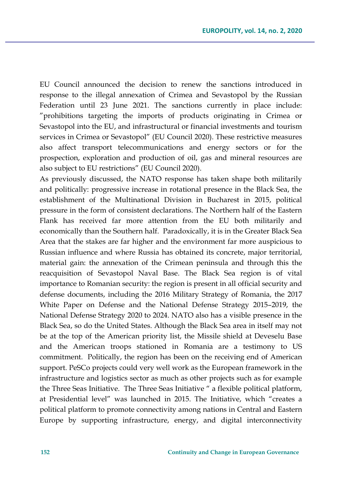EU Council announced the decision to renew the sanctions introduced in response to the illegal annexation of Crimea and Sevastopol by the Russian Federation until 23 June 2021. The sanctions currently in place include: "prohibitions targeting the imports of products originating in Crimea or Sevastopol into the EU, and infrastructural or financial investments and tourism services in Crimea or Sevastopol" (EU Council 2020). These restrictive measures also affect transport telecommunications and energy sectors or for the prospection, exploration and production of oil, gas and mineral resources are also subject to EU restrictions" (EU Council 2020).

As previously discussed, the NATO response has taken shape both militarily and politically: progressive increase in rotational presence in the Black Sea, the establishment of the Multinational Division in Bucharest in 2015, political pressure in the form of consistent declarations. The Northern half of the Eastern Flank has received far more attention from the EU both militarily and economically than the Southern half. Paradoxically, it is in the Greater Black Sea Area that the stakes are far higher and the environment far more auspicious to Russian influence and where Russia has obtained its concrete, major territorial, material gain: the annexation of the Crimean peninsula and through this the reacquisition of Sevastopol Naval Base. The Black Sea region is of vital importance to Romanian security: the region is present in all official security and defense documents, including the 2016 Military Strategy of Romania, the 2017 White Paper on Defense and the National Defense Strategy 2015–2019, the National Defense Strategy 2020 to 2024. NATO also has a visible presence in the Black Sea, so do the United States. Although the Black Sea area in itself may not be at the top of the American priority list, the Missile shield at Deveselu Base and the American troops stationed in Romania are a testimony to US commitment. Politically, the region has been on the receiving end of American support. PeSCo projects could very well work as the European framework in the infrastructure and logistics sector as much as other projects such as for example the Three Seas Initiative. The Three Seas Initiative " a flexible political platform, at Presidential level" was launched in 2015. The Initiative, which "creates a political platform to promote connectivity among nations in Central and Eastern Europe by supporting infrastructure, energy, and digital interconnectivity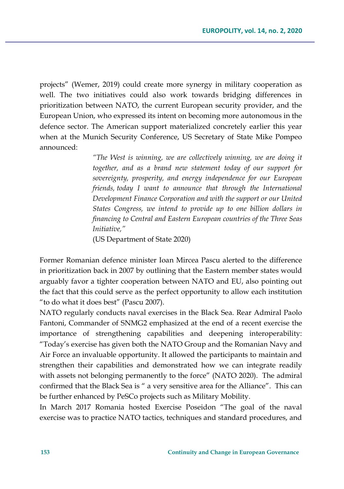projects" (Wemer, 2019) could create more synergy in military cooperation as well. The two initiatives could also work towards bridging differences in prioritization between NATO, the current European security provider, and the European Union, who expressed its intent on becoming more autonomous in the defence sector. The American support materialized concretely earlier this year when at the Munich Security Conference, US Secretary of State Mike Pompeo announced:

> *"The West is winning, we are collectively winning, we are doing it together, and as a brand new statement today of our support for sovereignty, prosperity, and energy independence for our European friends, today I want to announce that through the International Development Finance Corporation and with the support or our United States Congress, we intend to provide up to one billion dollars in financing to Central and Eastern European countries of the Three Seas Initiative,"*

(US Department of State 2020)

Former Romanian defence minister Ioan Mircea Pascu alerted to the difference in prioritization back in 2007 by outlining that the Eastern member states would arguably favor a tighter cooperation between NATO and EU, also pointing out the fact that this could serve as the perfect opportunity to allow each institution "to do what it does best" (Pascu 2007).

NATO regularly conducts naval exercises in the Black Sea. Rear Admiral Paolo Fantoni, Commander of SNMG2 emphasized at the end of a recent exercise the importance of strengthening capabilities and deepening interoperability: "Today's exercise has given both the NATO Group and the Romanian Navy and Air Force an invaluable opportunity. It allowed the participants to maintain and strengthen their capabilities and demonstrated how we can integrate readily with assets not belonging permanently to the force" (NATO 2020). The admiral confirmed that the Black Sea is " a very sensitive area for the Alliance". This can be further enhanced by PeSCo projects such as Military Mobility.

In March 2017 Romania hosted Exercise Poseidon "The goal of the naval exercise was to practice NATO tactics, techniques and standard procedures, and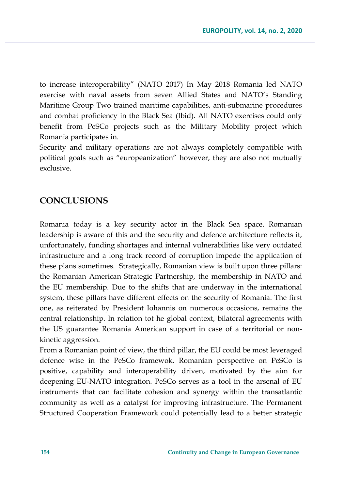to increase interoperability" (NATO 2017) In May 2018 Romania led NATO exercise with naval assets from seven Allied States and NATO's Standing Maritime Group Two trained maritime capabilities, anti-submarine procedures and combat proficiency in the Black Sea (Ibid). All NATO exercises could only benefit from PeSCo projects such as the Military Mobility project which Romania participates in.

Security and military operations are not always completely compatible with political goals such as "europeanization" however, they are also not mutually exclusive.

### **CONCLUSIONS**

Romania today is a key security actor in the Black Sea space. Romanian leadership is aware of this and the security and defence architecture reflects it, unfortunately, funding shortages and internal vulnerabilities like very outdated infrastructure and a long track record of corruption impede the application of these plans sometimes. Strategically, Romanian view is built upon three pillars: the Romanian American Strategic Partnership, the membership in NATO and the EU membership. Due to the shifts that are underway in the international system, these pillars have different effects on the security of Romania. The first one, as reiterated by President Iohannis on numerous occasions, remains the central relationship. In relation tot he global context, bilateral agreements with the US guarantee Romania American support in case of a territorial or nonkinetic aggression.

From a Romanian point of view, the third pillar, the EU could be most leveraged defence wise in the PeSCo framewok. Romanian perspective on PeSCo is positive, capability and interoperability driven, motivated by the aim for deepening EU-NATO integration. PeSCo serves as a tool in the arsenal of EU instruments that can facilitate cohesion and synergy within the transatlantic community as well as a catalyst for improving infrastructure. The Permanent Structured Cooperation Framework could potentially lead to a better strategic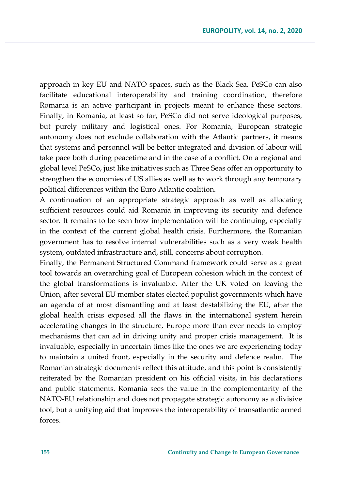approach in key EU and NATO spaces, such as the Black Sea. PeSCo can also facilitate educational interoperability and training coordination, therefore Romania is an active participant in projects meant to enhance these sectors. Finally, in Romania, at least so far, PeSCo did not serve ideological purposes, but purely military and logistical ones. For Romania, European strategic autonomy does not exclude collaboration with the Atlantic partners, it means that systems and personnel will be better integrated and division of labour will take pace both during peacetime and in the case of a conflict. On a regional and global level PeSCo, just like initiatives such as Three Seas offer an opportunity to strengthen the economies of US allies as well as to work through any temporary political differences within the Euro Atlantic coalition.

A continuation of an appropriate strategic approach as well as allocating sufficient resources could aid Romania in improving its security and defence sector. It remains to be seen how implementation will be continuing, especially in the context of the current global health crisis. Furthermore, the Romanian government has to resolve internal vulnerabilities such as a very weak health system, outdated infrastructure and, still, concerns about corruption.

Finally, the Permanent Structured Command framework could serve as a great tool towards an overarching goal of European cohesion which in the context of the global transformations is invaluable. After the UK voted on leaving the Union, after several EU member states elected populist governments which have an agenda of at most dismantling and at least destabilizing the EU, after the global health crisis exposed all the flaws in the international system herein accelerating changes in the structure, Europe more than ever needs to employ mechanisms that can ad in driving unity and proper crisis management. It is invaluable, especially in uncertain times like the ones we are experiencing today to maintain a united front, especially in the security and defence realm. The Romanian strategic documents reflect this attitude, and this point is consistently reiterated by the Romanian president on his official visits, in his declarations and public statements. Romania sees the value in the complementarity of the NATO-EU relationship and does not propagate strategic autonomy as a divisive tool, but a unifying aid that improves the interoperability of transatlantic armed forces.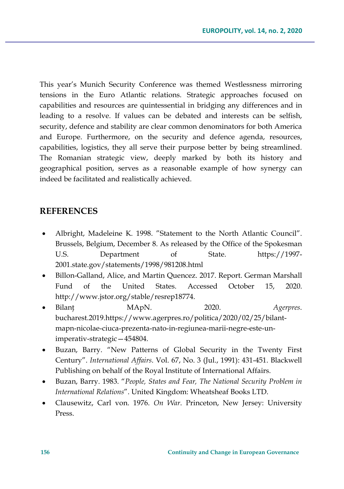This year's Munich Security Conference was themed Westlessness mirroring tensions in the Euro Atlantic relations. Strategic approaches focused on capabilities and resources are quintessential in bridging any differences and in leading to a resolve. If values can be debated and interests can be selfish, security, defence and stability are clear common denominators for both America and Europe. Furthermore, on the security and defence agenda, resources, capabilities, logistics, they all serve their purpose better by being streamlined. The Romanian strategic view, deeply marked by both its history and geographical position, serves as a reasonable example of how synergy can indeed be facilitated and realistically achieved.

### **REFERENCES**

- Albright, Madeleine K. 1998. "Statement to the North Atlantic Council". Brussels, Belgium, December 8. As released by the Office of the Spokesman U.S. Department of State. https://1997- 2001.state.gov/statements/1998/981208.html
- Billon-Galland, Alice, and Martin Quencez. 2017. Report. German Marshall Fund of the United States. Accessed October 15, 2020. http://www.jstor.org/stable/resrep18774.
- Bilanţ MApN. 2020. *Agerpres*. bucharest.2019.https://www.agerpres.ro/politica/2020/02/25/bilantmapn-nicolae-ciuca-prezenta-nato-in-regiunea-marii-negre-este-unimperativ-strategic—454804.
- Buzan, Barry. "New Patterns of Global Security in the Twenty First Century". *International Affairs*. Vol. 67, No. 3 (Jul., 1991): 431-451. Blackwell Publishing on behalf of the Royal Institute of International Affairs.
- Buzan, Barry. 1983. "*People, States and Fear, The National Security Problem in International Relations*". United Kingdom: Wheatsheaf Books LTD.
- Clausewitz, Carl von. 1976. *On War*. Princeton, New Jersey: University Press.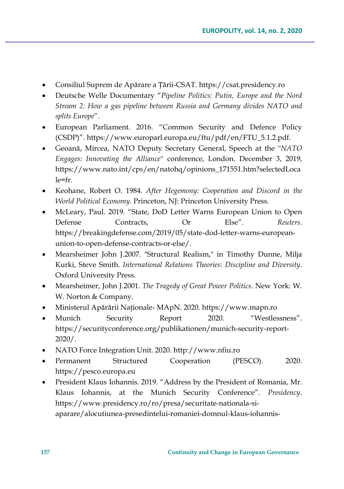- Consiliul Suprem de Apărare a Țării-CSAT. https://csat.presidency.ro
- Deutsche Welle Documentary "*Pipeline Politics: Putin, Europe and the Nord Stream 2: How a gas pipeline between Russia and Germany divides NATO and splits Europe*".
- European Parliament. 2016. "Common Security and Defence Policy (CSDP)". https://www.europarl.europa.eu/ftu/pdf/en/FTU\_5.1.2.pdf.
- Geoană, Mircea, NATO Deputy Secretary General, Speech at the ''*NATO Engages: Innovating the Alliance*'' conference, London. December 3, 2019, https://www.nato.int/cps/en/natohq/opinions\_171551.htm?selectedLoca  $le=fr$
- Keohane, Robert O. 1984. *After Hegemony: Cooperation and Discord in the World Political Economy*. Princeton, NJ: Princeton University Press.
- McLeary, Paul. 2019. "State, DoD Letter Warns European Union to Open Defense Contracts, Or Else". *Reuters*. https://breakingdefense.com/2019/05/state-dod-letter-warns-europeanunion-to-open-defense-contracts-or-else/.
- Mearsheimer John J.2007. "Structural Realism," in Timothy Dunne, Milja Kurki, Steve Smith. *International Relations Theories: Discipline and Diversity*. Oxford University Press.
- Mearsheimer, John J.2001. *The Tragedy of Great Power Politics*. New York: W. W. Norton & Company.
- Ministerul Apărării Naţionale- MApN. 2020. https://www.mapn.ro
- Munich Security Report 2020. "Westlessness". https://securityconference.org/publikationen/munich-security-report-2020/.
- NATO Force Integration Unit. 2020. http://www.nfiu.ro
- Permanent Structured Cooperation (PESCO). 2020. https://pesco.europa.eu
- President Klaus Iohannis. 2019. "Address by the President of Romania, Mr. Klaus Iohannis, at the Munich Security Conference". *Presidency*. https://www.presidency.ro/ro/presa/securitate-nationala-siaparare/alocutiunea-presedintelui-romaniei-domnul-klaus-iohannis-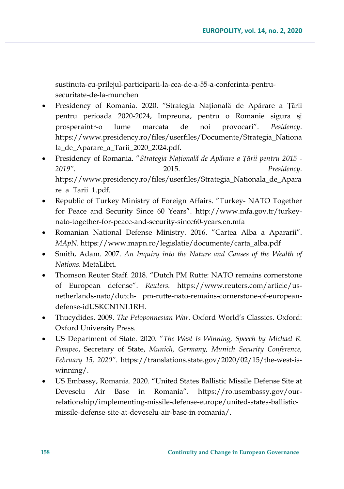sustinuta-cu-prilejul-participarii-la-cea-de-a-55-a-conferinta-pentrusecuritate-de-la-munchen

- Presidency of Romania. 2020. "Strategia Naţională de Apărare a Ţării pentru perioada 2020-2024, Impreuna, pentru o Romanie sigura şi prosperaintr-o lume marcata de noi provocari". *Pesidency*. https://www.presidency.ro/files/userfiles/Documente/Strategia\_Nationa la\_de\_Aparare\_a\_Tarii\_2020\_2024.pdf.
- Presidency of Romania. "*Strategia Naţională de Apărare a Ţării pentru 2015 ‐ 2019".* 2015. *Presidency.*  https://www.presidency.ro/files/userfiles/Strategia\_Nationala\_de\_Apara re\_a\_Tarii\_1.pdf.
- Republic of Turkey Ministry of Foreign Affairs. "Turkey- NATO Together for Peace and Security Since 60 Years". http://www.mfa.gov.tr/turkeynato-together-for-peace-and-security-since60-years.en.mfa
- Romanian National Defense Ministry. 2016. "Cartea Alba a Apararii". *MApN*. https://www.mapn.ro/legislatie/documente/carta\_alba.pdf
- Smith, Adam. 2007. *An Inquiry into the Nature and Causes of the Wealth of Nations*. MetaLibri.
- Thomson Reuter Staff. 2018. "Dutch PM Rutte: NATO remains cornerstone of European defense". *Reuters*. https://www.reuters.com/article/usnetherlands-nato/dutch- pm-rutte-nato-remains-cornerstone-of-europeandefense-idUSKCN1NL1RH.
- Thucydides. 2009. *The Peloponnesian War*. Oxford World's Classics. Oxford: Oxford University Press.
- US Department of State. 2020. "*The West Is Winning, Speech by Michael R. Pompeo*, Secretary of State, *Munich, Germany, Munich Security Conference, February 15, 2020"*. https://translations.state.gov/2020/02/15/the-west-iswinning/.
- US Embassy, Romania. 2020. "United States Ballistic Missile Defense Site at Deveselu Air Base in Romania". https://ro.usembassy.gov/ourrelationship/implementing-missile-defense-europe/united-states-ballisticmissile-defense-site-at-deveselu-air-base-in-romania/.